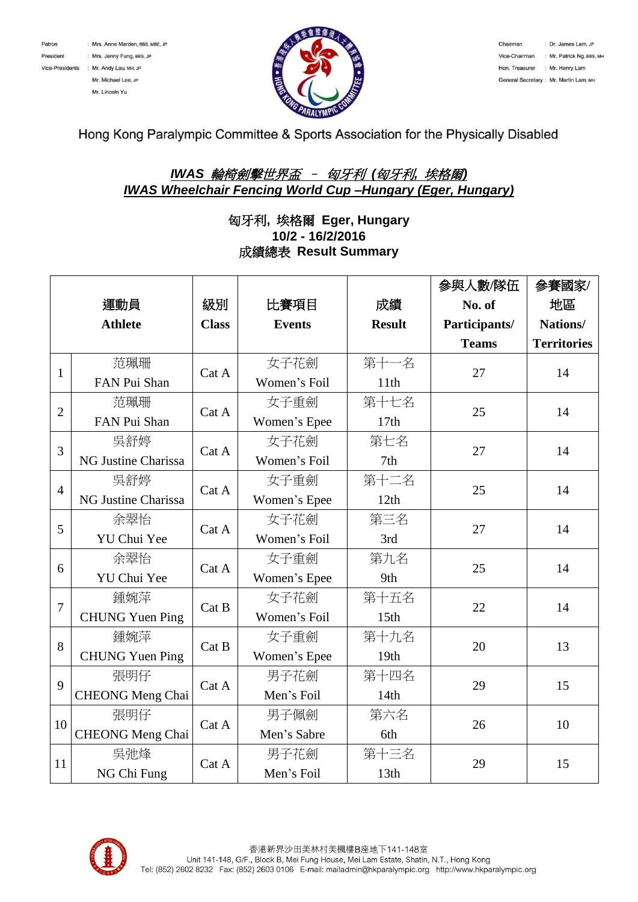



Hong Kong Paralympic Committee & Sports Association for the Physically Disabled

## *IWAS* 輪椅劍擊世界盃 – 匈牙利 *(*匈牙利*,* 埃格爾*) IWAS Wheelchair Fencing World Cup –Hungary (Eger, Hungary)*

## 匈牙利**,** 埃格爾 **Eger, Hungary 10/2 - 16/2/2016** 成績總表 **Result Summary**

|                |                         |              |               |               | 參與人數/隊伍       | 參賽國家/              |
|----------------|-------------------------|--------------|---------------|---------------|---------------|--------------------|
|                | 運動員                     | 級別           | 比賽項目          | 成績            | No. of        | 地區                 |
|                | <b>Athlete</b>          | <b>Class</b> | <b>Events</b> | <b>Result</b> | Participants/ | Nations/           |
|                |                         |              |               |               | <b>Teams</b>  | <b>Territories</b> |
| $\mathbf{1}$   | 范珮珊                     | Cat A        | 女子花劍          | 第十一名          | 27            | 14                 |
|                | FAN Pui Shan            |              | Women's Foil  | 11th          |               |                    |
| $\overline{2}$ | 范珮珊                     | Cat A        | 女子重劍          | 第十七名          | 25            | 14                 |
|                | FAN Pui Shan            |              | Women's Epee  | 17th          |               |                    |
| 3              | 吳舒婷                     | Cat A        | 女子花劍          | 第七名           | 27            | 14                 |
|                | NG Justine Charissa     |              | Women's Foil  | 7th           |               |                    |
| $\overline{4}$ | 吳舒婷                     | Cat A        | 女子重劍          | 第十二名          | 25            | 14                 |
|                | NG Justine Charissa     |              | Women's Epee  | 12th          |               |                    |
| 5              | 余翠怡                     | Cat A        | 女子花劍          | 第三名           | 27            | 14                 |
|                | YU Chui Yee             |              | Women's Foil  | 3rd           |               |                    |
| 6              | 余翠怡                     | Cat A        | 女子重劍          | 第九名           | 25            | 14                 |
|                | YU Chui Yee             |              | Women's Epee  | 9th           |               |                    |
| 7              | 鍾婉萍                     | Cat B        | 女子花劍          | 第十五名          | 22            | 14                 |
|                | <b>CHUNG Yuen Ping</b>  |              | Women's Foil  | 15th          |               |                    |
| 8              | 鍾婉萍                     | Cat B        | 女子重劍          | 第十九名          | 20            | 13                 |
|                | <b>CHUNG Yuen Ping</b>  |              | Women's Epee  | 19th          |               |                    |
| 9              | 張明仔                     | Cat A        | 男子花劍          | 第十四名          | 29            | 15                 |
|                | <b>CHEONG</b> Meng Chai |              | Men's Foil    | 14th          |               |                    |
| 10             | 張明仔                     | Cat A        | 男子佩劍          | 第六名           | 26            | 10                 |
|                | <b>CHEONG Meng Chai</b> |              | Men's Sabre   | 6th           |               |                    |
| 11             | 吳弛烽                     | Cat A        | 男子花劍          | 第十三名          | 29            | 15                 |
|                | NG Chi Fung             |              | Men's Foil    | 13th          |               |                    |